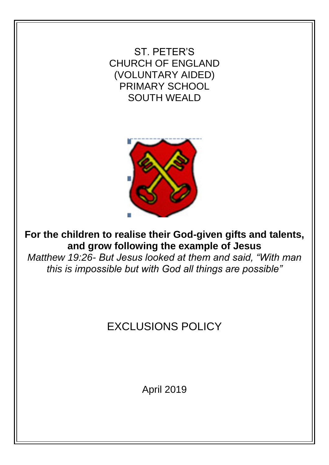ST. PETER'S CHURCH OF ENGLAND (VOLUNTARY AIDED) PRIMARY SCHOOL SOUTH WEALD



**For the children to realise their God-given gifts and talents, and grow following the example of Jesus** 

*Matthew 19:26- But Jesus looked at them and said, "With man this is impossible but with God all things are possible"* 

# EXCLUSIONS POLICY

April 2019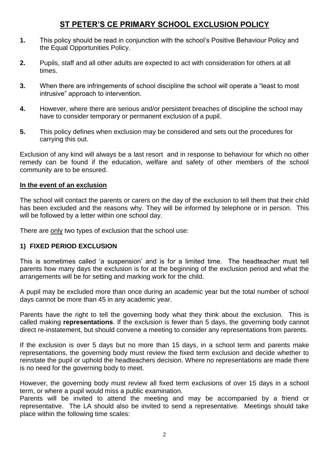### **ST PETER'S CE PRIMARY SCHOOL EXCLUSION POLICY**

- **1.** This policy should be read in conjunction with the school's Positive Behaviour Policy and the Equal Opportunities Policy.
- **2.** Pupils, staff and all other adults are expected to act with consideration for others at all times.
- **3.** When there are infringements of school discipline the school will operate a "least to most intrusive" approach to intervention.
- **4.** However, where there are serious and/or persistent breaches of discipline the school may have to consider temporary or permanent exclusion of a pupil.
- **5.** This policy defines when exclusion may be considered and sets out the procedures for carrying this out.

Exclusion of any kind will always be a last resort and in response to behaviour for which no other remedy can be found if the education, welfare and safety of other members of the school community are to be ensured.

#### **In the event of an exclusion**

The school will contact the parents or carers on the day of the exclusion to tell them that their child has been excluded and the reasons why. They will be informed by telephone or in person. This will be followed by a letter within one school day.

There are only two types of exclusion that the school use:

#### **1) FIXED PERIOD EXCLUSION**

This is sometimes called 'a suspension' and is for a limited time. The headteacher must tell parents how many days the exclusion is for at the beginning of the exclusion period and what the arrangements will be for setting and marking work for the child.

A pupil may be excluded more than once during an academic year but the total number of school days cannot be more than 45 in any academic year.

Parents have the right to tell the governing body what they think about the exclusion. This is called making **representations**. If the exclusion is fewer than 5 days, the governing body cannot direct re-instatement, but should convene a meeting to consider any representations from parents.

If the exclusion is over 5 days but no more than 15 days, in a school term and parents make representations, the governing body must review the fixed term exclusion and decide whether to reinstate the pupil or uphold the headteachers decision. Where no representations are made there is no need for the governing body to meet.

However, the governing body must review all fixed term exclusions of over 15 days in a school term, or where a pupil would miss a public examination.

Parents will be invited to attend the meeting and may be accompanied by a friend or representative. The LA should also be invited to send a representative. Meetings should take place within the following time scales: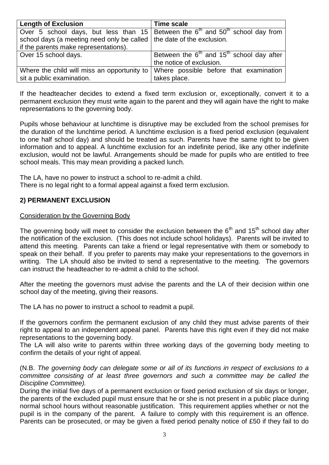| <b>Length of Exclusion</b>                                              | <b>Time scale</b>                                                                  |
|-------------------------------------------------------------------------|------------------------------------------------------------------------------------|
|                                                                         | Over 5 school days, but less than 15 Between the $6th$ and $50th$ school day from  |
| school days (a meeting need only be called   the date of the exclusion. |                                                                                    |
| if the parents make representations).                                   |                                                                                    |
| Over 15 school days.                                                    | Between the $6th$ and 15 <sup>th</sup> school day after                            |
|                                                                         | the notice of exclusion.                                                           |
|                                                                         | Where the child will miss an opportunity to Where possible before that examination |
| sit a public examination.                                               | takes place.                                                                       |

If the headteacher decides to extend a fixed term exclusion or, exceptionally, convert it to a permanent exclusion they must write again to the parent and they will again have the right to make representations to the governing body.

Pupils whose behaviour at lunchtime is disruptive may be excluded from the school premises for the duration of the lunchtime period. A lunchtime exclusion is a fixed period exclusion (equivalent to one half school day) and should be treated as such. Parents have the same right to be given information and to appeal. A lunchtime exclusion for an indefinite period, like any other indefinite exclusion, would not be lawful. Arrangements should be made for pupils who are entitled to free school meals. This may mean providing a packed lunch.

The LA, have no power to instruct a school to re-admit a child. There is no legal right to a formal appeal against a fixed term exclusion.

#### **2) PERMANENT EXCLUSION**

#### Consideration by the Governing Body

The governing body will meet to consider the exclusion between the  $6<sup>th</sup>$  and  $15<sup>th</sup>$  school day after the notification of the exclusion. (This does not include school holidays). Parents will be invited to attend this meeting. Parents can take a friend or legal representative with them or somebody to speak on their behalf. If you prefer to parents may make your representations to the governors in writing. The LA should also be invited to send a representative to the meeting. The governors can instruct the headteacher to re-admit a child to the school.

After the meeting the governors must advise the parents and the LA of their decision within one school day of the meeting, giving their reasons.

The LA has no power to instruct a school to readmit a pupil.

If the governors confirm the permanent exclusion of any child they must advise parents of their right to appeal to an independent appeal panel. Parents have this right even if they did not make representations to the governing body.

The LA will also write to parents within three working days of the governing body meeting to confirm the details of your right of appeal.

(N.B. *The governing body can delegate some or all of its functions in respect of exclusions to a committee consisting of at least three governors and such a committee may be called the Discipline Committee).*

During the initial five days of a permanent exclusion or fixed period exclusion of six days or longer, the parents of the excluded pupil must ensure that he or she is not present in a public place during normal school hours without reasonable justification. This requirement applies whether or not the pupil is in the company of the parent. A failure to comply with this requirement is an offence. Parents can be prosecuted, or may be given a fixed period penalty notice of £50 if they fail to do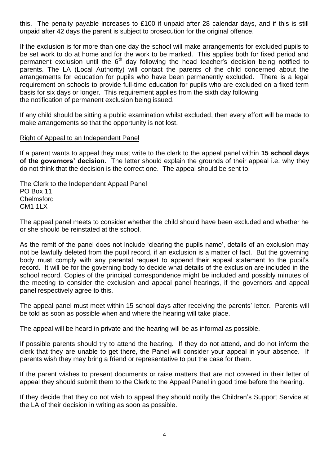this. The penalty payable increases to £100 if unpaid after 28 calendar days, and if this is still unpaid after 42 days the parent is subject to prosecution for the original offence.

If the exclusion is for more than one day the school will make arrangements for excluded pupils to be set work to do at home and for the work to be marked. This applies both for fixed period and permanent exclusion until the  $6<sup>th</sup>$  day following the head teacher's decision being notified to parents. The LA (Local Authority) will contact the parents of the child concerned about the arrangements for education for pupils who have been permanently excluded. There is a legal requirement on schools to provide full-time education for pupils who are excluded on a fixed term basis for six days or longer. This requirement applies from the sixth day following the notification of permanent exclusion being issued.

If any child should be sitting a public examination whilst excluded, then every effort will be made to make arrangements so that the opportunity is not lost.

#### Right of Appeal to an Independent Panel

If a parent wants to appeal they must write to the clerk to the appeal panel within **15 school days of the governors' decision**. The letter should explain the grounds of their appeal i.e. why they do not think that the decision is the correct one. The appeal should be sent to:

The Clerk to the Independent Appeal Panel PO Box 11 **Chelmsford** CM1 1LX

The appeal panel meets to consider whether the child should have been excluded and whether he or she should be reinstated at the school.

As the remit of the panel does not include 'clearing the pupils name', details of an exclusion may not be lawfully deleted from the pupil record, if an exclusion is a matter of fact. But the governing body must comply with any parental request to append their appeal statement to the pupil's record. It will be for the governing body to decide what details of the exclusion are included in the school record. Copies of the principal correspondence might be included and possibly minutes of the meeting to consider the exclusion and appeal panel hearings, if the governors and appeal panel respectively agree to this.

The appeal panel must meet within 15 school days after receiving the parents' letter. Parents will be told as soon as possible when and where the hearing will take place.

The appeal will be heard in private and the hearing will be as informal as possible.

If possible parents should try to attend the hearing. If they do not attend, and do not inform the clerk that they are unable to get there, the Panel will consider your appeal in your absence. If parents wish they may bring a friend or representative to put the case for them.

If the parent wishes to present documents or raise matters that are not covered in their letter of appeal they should submit them to the Clerk to the Appeal Panel in good time before the hearing.

If they decide that they do not wish to appeal they should notify the Children's Support Service at the LA of their decision in writing as soon as possible.